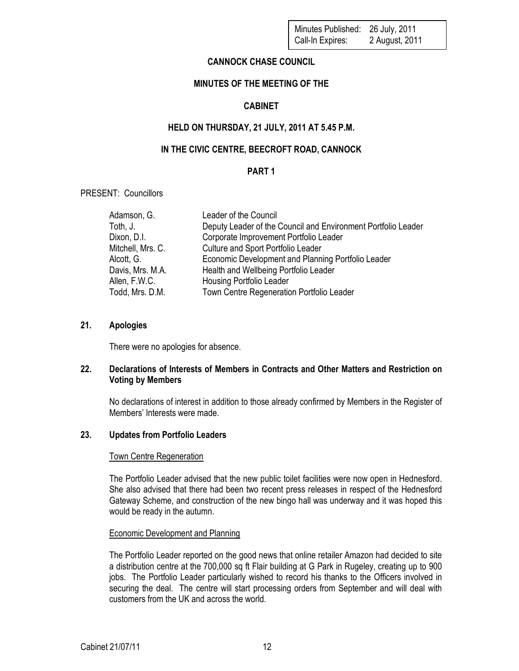# CANNOCK CHASE COUNCIL

# MINUTES OF THE MEETING OF THE

# CABINET

# HELD ON THURSDAY, 21 JULY, 2011 AT 5.45 P.M.

# IN THE CIVIC CENTRE, BEECROFT ROAD, CANNOCK

## PART 1

PRESENT: Councillors

| Adamson, G.       | Leader of the Council                                         |
|-------------------|---------------------------------------------------------------|
| Toth, J.          | Deputy Leader of the Council and Environment Portfolio Leader |
| Dixon, D.I.       | Corporate Improvement Portfolio Leader                        |
| Mitchell, Mrs. C. | Culture and Sport Portfolio Leader                            |
| Alcott, G.        | Economic Development and Planning Portfolio Leader            |
| Davis, Mrs. M.A.  | Health and Wellbeing Portfolio Leader                         |
| Allen, F.W.C.     | <b>Housing Portfolio Leader</b>                               |
| Todd, Mrs. D.M.   | Town Centre Regeneration Portfolio Leader                     |

## 21. Apologies

There were no apologies for absence.

## 22. Declarations of Interests of Members in Contracts and Other Matters and Restriction on Voting by Members

No declarations of interest in addition to those already confirmed by Members in the Register of Members' Interests were made.

## 23. Updates from Portfolio Leaders

### Town Centre Regeneration

The Portfolio Leader advised that the new public toilet facilities were now open in Hednesford. She also advised that there had been two recent press releases in respect of the Hednesford Gateway Scheme, and construction of the new bingo hall was underway and it was hoped this would be ready in the autumn.

### Economic Development and Planning

The Portfolio Leader reported on the good news that online retailer Amazon had decided to site a distribution centre at the 700,000 sq ft Flair building at G Park in Rugeley, creating up to 900 jobs. The Portfolio Leader particularly wished to record his thanks to the Officers involved in securing the deal. The centre will start processing orders from September and will deal with customers from the UK and across the world.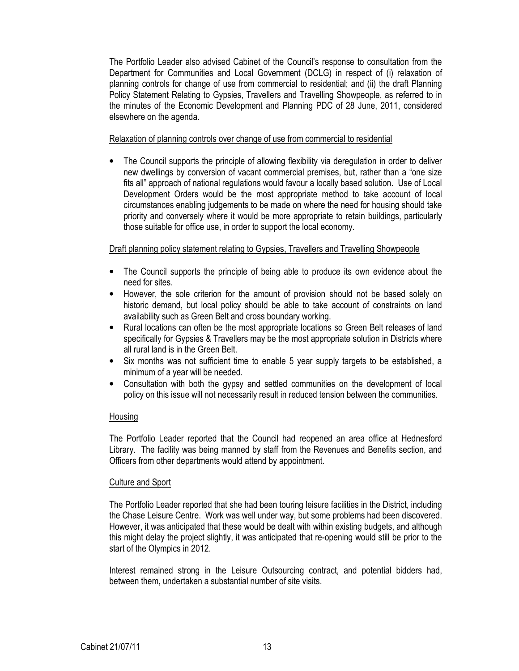The Portfolio Leader also advised Cabinet of the Council's response to consultation from the Department for Communities and Local Government (DCLG) in respect of (i) relaxation of planning controls for change of use from commercial to residential; and (ii) the draft Planning Policy Statement Relating to Gypsies, Travellers and Travelling Showpeople, as referred to in the minutes of the Economic Development and Planning PDC of 28 June, 2011, considered elsewhere on the agenda.

### Relaxation of planning controls over change of use from commercial to residential

• The Council supports the principle of allowing flexibility via deregulation in order to deliver new dwellings by conversion of vacant commercial premises, but, rather than a "one size fits all" approach of national regulations would favour a locally based solution. Use of Local Development Orders would be the most appropriate method to take account of local circumstances enabling judgements to be made on where the need for housing should take priority and conversely where it would be more appropriate to retain buildings, particularly those suitable for office use, in order to support the local economy.

## Draft planning policy statement relating to Gypsies, Travellers and Travelling Showpeople

- The Council supports the principle of being able to produce its own evidence about the need for sites.
- However, the sole criterion for the amount of provision should not be based solely on historic demand, but local policy should be able to take account of constraints on land availability such as Green Belt and cross boundary working.
- Rural locations can often be the most appropriate locations so Green Belt releases of land specifically for Gypsies & Travellers may be the most appropriate solution in Districts where all rural land is in the Green Belt.
- Six months was not sufficient time to enable 5 year supply targets to be established, a minimum of a year will be needed.
- Consultation with both the gypsy and settled communities on the development of local policy on this issue will not necessarily result in reduced tension between the communities.

### Housing

The Portfolio Leader reported that the Council had reopened an area office at Hednesford Library. The facility was being manned by staff from the Revenues and Benefits section, and Officers from other departments would attend by appointment.

### Culture and Sport

The Portfolio Leader reported that she had been touring leisure facilities in the District, including the Chase Leisure Centre. Work was well under way, but some problems had been discovered. However, it was anticipated that these would be dealt with within existing budgets, and although this might delay the project slightly, it was anticipated that re-opening would still be prior to the start of the Olympics in 2012.

Interest remained strong in the Leisure Outsourcing contract, and potential bidders had, between them, undertaken a substantial number of site visits.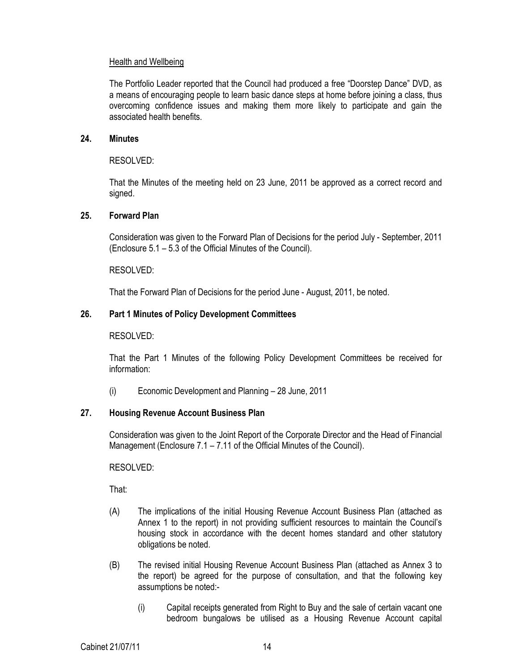## Health and Wellbeing

The Portfolio Leader reported that the Council had produced a free "Doorstep Dance" DVD, as a means of encouraging people to learn basic dance steps at home before joining a class, thus overcoming confidence issues and making them more likely to participate and gain the associated health benefits.

### 24. Minutes

## RESOLVED:

That the Minutes of the meeting held on 23 June, 2011 be approved as a correct record and signed.

## 25. Forward Plan

Consideration was given to the Forward Plan of Decisions for the period July - September, 2011 (Enclosure 5.1 – 5.3 of the Official Minutes of the Council).

RESOLVED:

That the Forward Plan of Decisions for the period June - August, 2011, be noted.

## 26. Part 1 Minutes of Policy Development Committees

RESOLVED:

That the Part 1 Minutes of the following Policy Development Committees be received for information:

(i) Economic Development and Planning – 28 June, 2011

## 27. Housing Revenue Account Business Plan

Consideration was given to the Joint Report of the Corporate Director and the Head of Financial Management (Enclosure 7.1 – 7.11 of the Official Minutes of the Council).

RESOLVED:

- (A) The implications of the initial Housing Revenue Account Business Plan (attached as Annex 1 to the report) in not providing sufficient resources to maintain the Council's housing stock in accordance with the decent homes standard and other statutory obligations be noted.
- (B) The revised initial Housing Revenue Account Business Plan (attached as Annex 3 to the report) be agreed for the purpose of consultation, and that the following key assumptions be noted:-
	- (i) Capital receipts generated from Right to Buy and the sale of certain vacant one bedroom bungalows be utilised as a Housing Revenue Account capital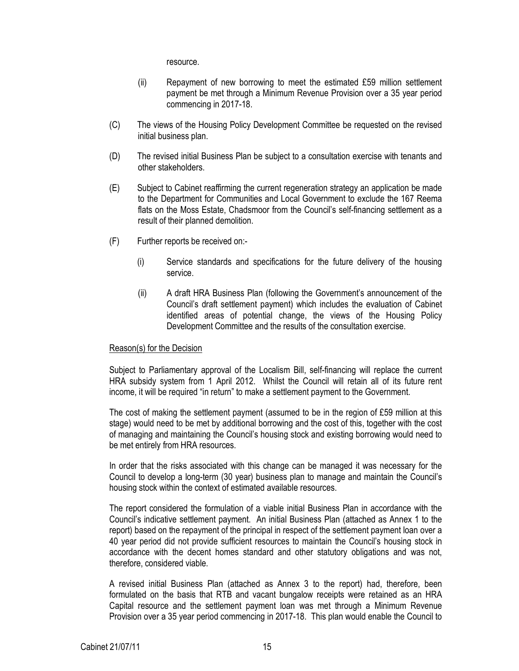resource.

- (ii) Repayment of new borrowing to meet the estimated £59 million settlement payment be met through a Minimum Revenue Provision over a 35 year period commencing in 2017-18.
- (C) The views of the Housing Policy Development Committee be requested on the revised initial business plan.
- (D) The revised initial Business Plan be subject to a consultation exercise with tenants and other stakeholders.
- (E) Subject to Cabinet reaffirming the current regeneration strategy an application be made to the Department for Communities and Local Government to exclude the 167 Reema flats on the Moss Estate, Chadsmoor from the Council's self-financing settlement as a result of their planned demolition.
- (F) Further reports be received on:-
	- (i) Service standards and specifications for the future delivery of the housing service.
	- (ii) A draft HRA Business Plan (following the Government's announcement of the Council's draft settlement payment) which includes the evaluation of Cabinet identified areas of potential change, the views of the Housing Policy Development Committee and the results of the consultation exercise.

### Reason(s) for the Decision

Subject to Parliamentary approval of the Localism Bill, self-financing will replace the current HRA subsidy system from 1 April 2012. Whilst the Council will retain all of its future rent income, it will be required "in return" to make a settlement payment to the Government.

The cost of making the settlement payment (assumed to be in the region of £59 million at this stage) would need to be met by additional borrowing and the cost of this, together with the cost of managing and maintaining the Council's housing stock and existing borrowing would need to be met entirely from HRA resources.

In order that the risks associated with this change can be managed it was necessary for the Council to develop a long-term (30 year) business plan to manage and maintain the Council's housing stock within the context of estimated available resources.

The report considered the formulation of a viable initial Business Plan in accordance with the Council's indicative settlement payment. An initial Business Plan (attached as Annex 1 to the report) based on the repayment of the principal in respect of the settlement payment loan over a 40 year period did not provide sufficient resources to maintain the Council's housing stock in accordance with the decent homes standard and other statutory obligations and was not, therefore, considered viable.

A revised initial Business Plan (attached as Annex 3 to the report) had, therefore, been formulated on the basis that RTB and vacant bungalow receipts were retained as an HRA Capital resource and the settlement payment loan was met through a Minimum Revenue Provision over a 35 year period commencing in 2017-18. This plan would enable the Council to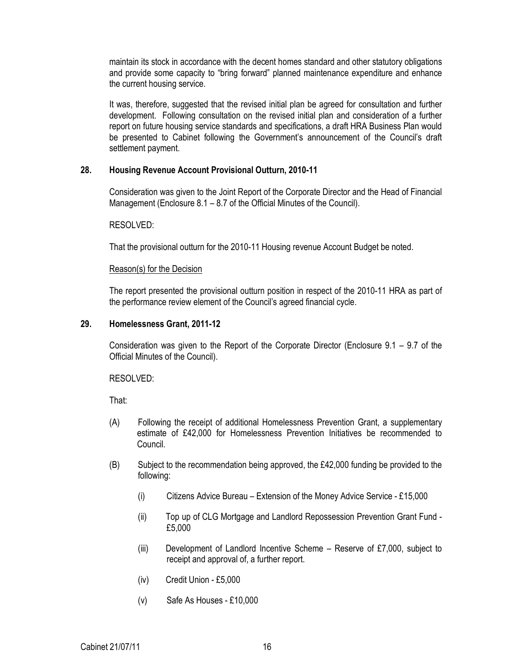maintain its stock in accordance with the decent homes standard and other statutory obligations and provide some capacity to "bring forward" planned maintenance expenditure and enhance the current housing service.

It was, therefore, suggested that the revised initial plan be agreed for consultation and further development. Following consultation on the revised initial plan and consideration of a further report on future housing service standards and specifications, a draft HRA Business Plan would be presented to Cabinet following the Government's announcement of the Council's draft settlement payment.

## 28. Housing Revenue Account Provisional Outturn, 2010-11

Consideration was given to the Joint Report of the Corporate Director and the Head of Financial Management (Enclosure 8.1 – 8.7 of the Official Minutes of the Council).

### RESOLVED:

That the provisional outturn for the 2010-11 Housing revenue Account Budget be noted.

### Reason(s) for the Decision

The report presented the provisional outturn position in respect of the 2010-11 HRA as part of the performance review element of the Council's agreed financial cycle.

## 29. Homelessness Grant, 2011-12

Consideration was given to the Report of the Corporate Director (Enclosure 9.1 – 9.7 of the Official Minutes of the Council).

### RESOLVED:

- (A) Following the receipt of additional Homelessness Prevention Grant, a supplementary estimate of £42,000 for Homelessness Prevention Initiatives be recommended to Council.
- (B) Subject to the recommendation being approved, the £42,000 funding be provided to the following:
	- (i) Citizens Advice Bureau Extension of the Money Advice Service £15,000
	- (ii) Top up of CLG Mortgage and Landlord Repossession Prevention Grant Fund £5,000
	- (iii) Development of Landlord Incentive Scheme Reserve of £7,000, subject to receipt and approval of, a further report.
	- (iv) Credit Union £5,000
	- (v) Safe As Houses £10,000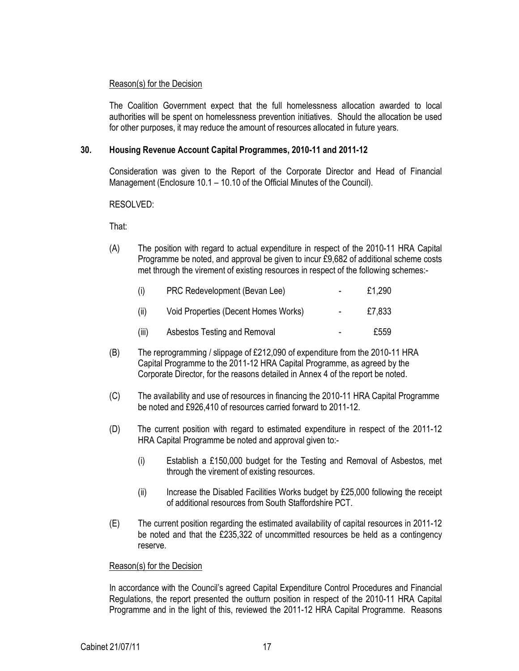## Reason(s) for the Decision

The Coalition Government expect that the full homelessness allocation awarded to local authorities will be spent on homelessness prevention initiatives. Should the allocation be used for other purposes, it may reduce the amount of resources allocated in future years.

## 30. Housing Revenue Account Capital Programmes, 2010-11 and 2011-12

Consideration was given to the Report of the Corporate Director and Head of Financial Management (Enclosure 10.1 – 10.10 of the Official Minutes of the Council).

RESOLVED:

That:

(A) The position with regard to actual expenditure in respect of the 2010-11 HRA Capital Programme be noted, and approval be given to incur £9,682 of additional scheme costs met through the virement of existing resources in respect of the following schemes:-

| (i)   | PRC Redevelopment (Bevan Lee)        | $\sim$         | £1.290 |
|-------|--------------------------------------|----------------|--------|
| (ii)  | Void Properties (Decent Homes Works) | $\sim$         | £7,833 |
| (iii) | Asbestos Testing and Removal         | $\blacksquare$ | £559   |

- (B) The reprogramming / slippage of £212,090 of expenditure from the 2010-11 HRA Capital Programme to the 2011-12 HRA Capital Programme, as agreed by the Corporate Director, for the reasons detailed in Annex 4 of the report be noted.
- (C) The availability and use of resources in financing the 2010-11 HRA Capital Programme be noted and £926,410 of resources carried forward to 2011-12.
- (D) The current position with regard to estimated expenditure in respect of the 2011-12 HRA Capital Programme be noted and approval given to:-
	- (i) Establish a £150,000 budget for the Testing and Removal of Asbestos, met through the virement of existing resources.
	- (ii) Increase the Disabled Facilities Works budget by £25,000 following the receipt of additional resources from South Staffordshire PCT.
- (E) The current position regarding the estimated availability of capital resources in 2011-12 be noted and that the £235,322 of uncommitted resources be held as a contingency reserve.

## Reason(s) for the Decision

In accordance with the Council's agreed Capital Expenditure Control Procedures and Financial Regulations, the report presented the outturn position in respect of the 2010-11 HRA Capital Programme and in the light of this, reviewed the 2011-12 HRA Capital Programme. Reasons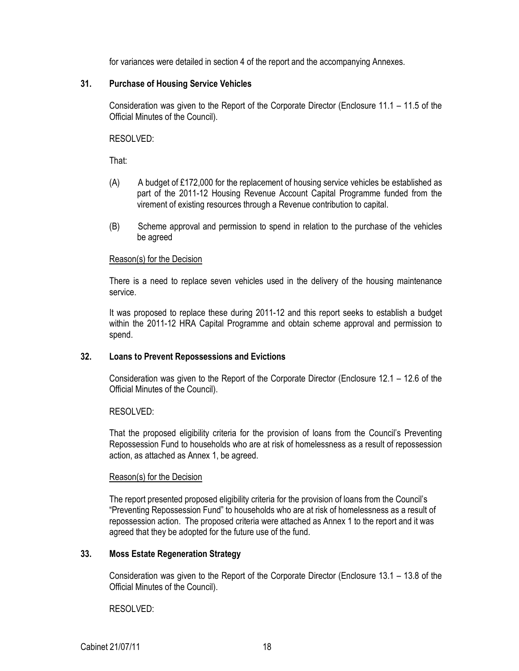for variances were detailed in section 4 of the report and the accompanying Annexes.

## 31. Purchase of Housing Service Vehicles

Consideration was given to the Report of the Corporate Director (Enclosure 11.1 – 11.5 of the Official Minutes of the Council).

RESOLVED:

That:

- (A) A budget of £172,000 for the replacement of housing service vehicles be established as part of the 2011-12 Housing Revenue Account Capital Programme funded from the virement of existing resources through a Revenue contribution to capital.
- (B) Scheme approval and permission to spend in relation to the purchase of the vehicles be agreed

## Reason(s) for the Decision

There is a need to replace seven vehicles used in the delivery of the housing maintenance service.

It was proposed to replace these during 2011-12 and this report seeks to establish a budget within the 2011-12 HRA Capital Programme and obtain scheme approval and permission to spend.

## 32. Loans to Prevent Repossessions and Evictions

Consideration was given to the Report of the Corporate Director (Enclosure 12.1 – 12.6 of the Official Minutes of the Council).

## RESOLVED:

That the proposed eligibility criteria for the provision of loans from the Council's Preventing Repossession Fund to households who are at risk of homelessness as a result of repossession action, as attached as Annex 1, be agreed.

### Reason(s) for the Decision

The report presented proposed eligibility criteria for the provision of loans from the Council's "Preventing Repossession Fund" to households who are at risk of homelessness as a result of repossession action. The proposed criteria were attached as Annex 1 to the report and it was agreed that they be adopted for the future use of the fund.

## 33. Moss Estate Regeneration Strategy

Consideration was given to the Report of the Corporate Director (Enclosure 13.1 – 13.8 of the Official Minutes of the Council).

RESOLVED: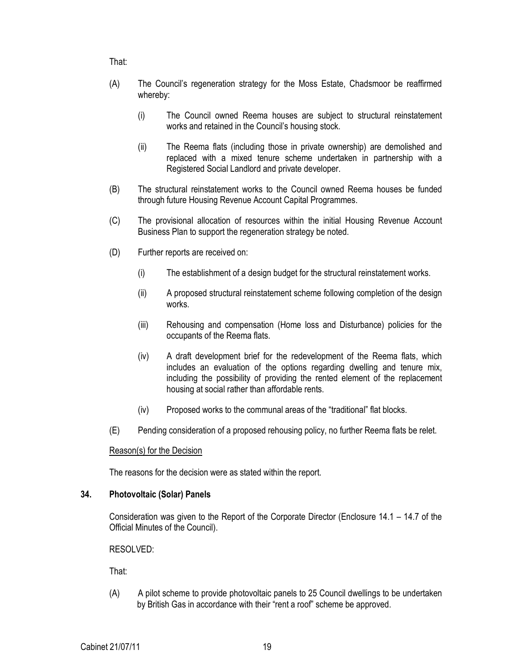That:

- (A) The Council's regeneration strategy for the Moss Estate, Chadsmoor be reaffirmed whereby:
	- (i) The Council owned Reema houses are subject to structural reinstatement works and retained in the Council's housing stock.
	- (ii) The Reema flats (including those in private ownership) are demolished and replaced with a mixed tenure scheme undertaken in partnership with a Registered Social Landlord and private developer.
- (B) The structural reinstatement works to the Council owned Reema houses be funded through future Housing Revenue Account Capital Programmes.
- (C) The provisional allocation of resources within the initial Housing Revenue Account Business Plan to support the regeneration strategy be noted.
- (D) Further reports are received on:
	- (i) The establishment of a design budget for the structural reinstatement works.
	- (ii) A proposed structural reinstatement scheme following completion of the design works.
	- (iii) Rehousing and compensation (Home loss and Disturbance) policies for the occupants of the Reema flats.
	- (iv) A draft development brief for the redevelopment of the Reema flats, which includes an evaluation of the options regarding dwelling and tenure mix, including the possibility of providing the rented element of the replacement housing at social rather than affordable rents.
	- (iv) Proposed works to the communal areas of the "traditional" flat blocks.
- (E) Pending consideration of a proposed rehousing policy, no further Reema flats be relet.

### Reason(s) for the Decision

The reasons for the decision were as stated within the report.

### 34. Photovoltaic (Solar) Panels

Consideration was given to the Report of the Corporate Director (Enclosure 14.1 – 14.7 of the Official Minutes of the Council).

RESOLVED:

That:

(A) A pilot scheme to provide photovoltaic panels to 25 Council dwellings to be undertaken by British Gas in accordance with their "rent a roof" scheme be approved.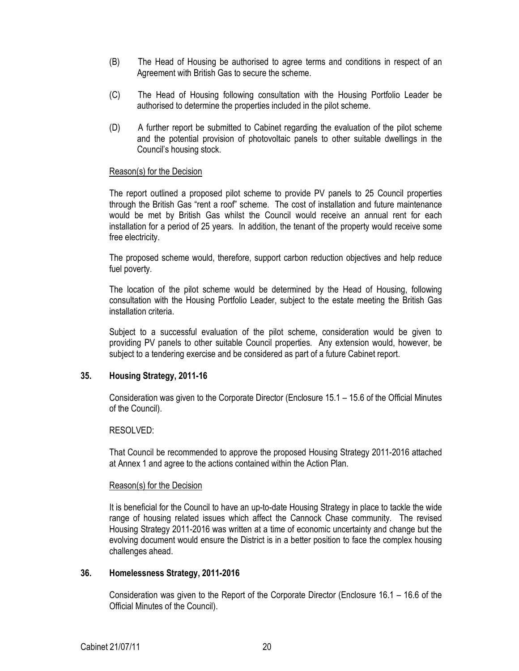- (B) The Head of Housing be authorised to agree terms and conditions in respect of an Agreement with British Gas to secure the scheme.
- (C) The Head of Housing following consultation with the Housing Portfolio Leader be authorised to determine the properties included in the pilot scheme.
- (D) A further report be submitted to Cabinet regarding the evaluation of the pilot scheme and the potential provision of photovoltaic panels to other suitable dwellings in the Council's housing stock.

### Reason(s) for the Decision

The report outlined a proposed pilot scheme to provide PV panels to 25 Council properties through the British Gas "rent a roof" scheme. The cost of installation and future maintenance would be met by British Gas whilst the Council would receive an annual rent for each installation for a period of 25 years. In addition, the tenant of the property would receive some free electricity.

The proposed scheme would, therefore, support carbon reduction objectives and help reduce fuel poverty.

The location of the pilot scheme would be determined by the Head of Housing, following consultation with the Housing Portfolio Leader, subject to the estate meeting the British Gas installation criteria.

Subject to a successful evaluation of the pilot scheme, consideration would be given to providing PV panels to other suitable Council properties. Any extension would, however, be subject to a tendering exercise and be considered as part of a future Cabinet report.

## 35. Housing Strategy, 2011-16

Consideration was given to the Corporate Director (Enclosure 15.1 – 15.6 of the Official Minutes of the Council).

#### RESOLVED:

That Council be recommended to approve the proposed Housing Strategy 2011-2016 attached at Annex 1 and agree to the actions contained within the Action Plan.

### Reason(s) for the Decision

It is beneficial for the Council to have an up-to-date Housing Strategy in place to tackle the wide range of housing related issues which affect the Cannock Chase community. The revised Housing Strategy 2011-2016 was written at a time of economic uncertainty and change but the evolving document would ensure the District is in a better position to face the complex housing challenges ahead.

### 36. Homelessness Strategy, 2011-2016

Consideration was given to the Report of the Corporate Director (Enclosure 16.1 – 16.6 of the Official Minutes of the Council).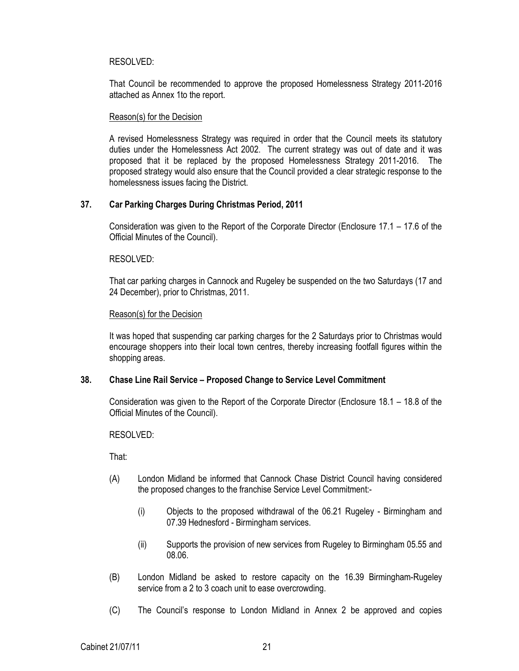## RESOLVED:

That Council be recommended to approve the proposed Homelessness Strategy 2011-2016 attached as Annex 1to the report.

### Reason(s) for the Decision

A revised Homelessness Strategy was required in order that the Council meets its statutory duties under the Homelessness Act 2002. The current strategy was out of date and it was proposed that it be replaced by the proposed Homelessness Strategy 2011-2016. The proposed strategy would also ensure that the Council provided a clear strategic response to the homelessness issues facing the District.

## 37. Car Parking Charges During Christmas Period, 2011

Consideration was given to the Report of the Corporate Director (Enclosure 17.1 – 17.6 of the Official Minutes of the Council).

RESOLVED:

That car parking charges in Cannock and Rugeley be suspended on the two Saturdays (17 and 24 December), prior to Christmas, 2011.

## Reason(s) for the Decision

It was hoped that suspending car parking charges for the 2 Saturdays prior to Christmas would encourage shoppers into their local town centres, thereby increasing footfall figures within the shopping areas.

## 38. Chase Line Rail Service – Proposed Change to Service Level Commitment

Consideration was given to the Report of the Corporate Director (Enclosure 18.1 – 18.8 of the Official Minutes of the Council).

RESOLVED:

- (A) London Midland be informed that Cannock Chase District Council having considered the proposed changes to the franchise Service Level Commitment:-
	- (i) Objects to the proposed withdrawal of the 06.21 Rugeley Birmingham and 07.39 Hednesford - Birmingham services.
	- (ii) Supports the provision of new services from Rugeley to Birmingham 05.55 and 08.06.
- (B) London Midland be asked to restore capacity on the 16.39 Birmingham-Rugeley service from a 2 to 3 coach unit to ease overcrowding.
- (C) The Council's response to London Midland in Annex 2 be approved and copies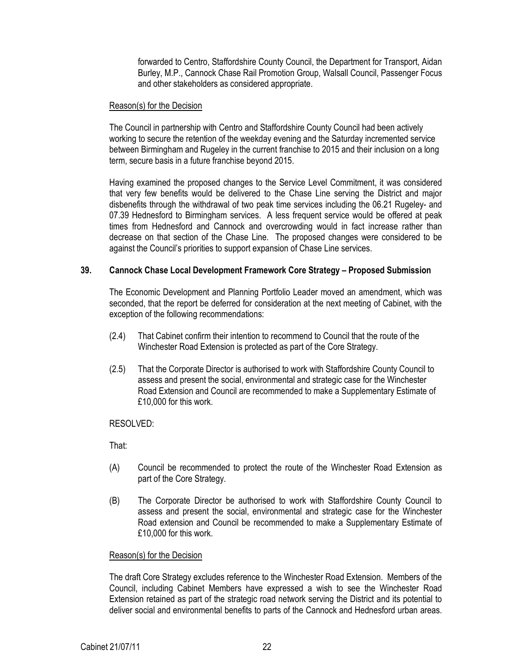forwarded to Centro, Staffordshire County Council, the Department for Transport, Aidan Burley, M.P., Cannock Chase Rail Promotion Group, Walsall Council, Passenger Focus and other stakeholders as considered appropriate.

### Reason(s) for the Decision

The Council in partnership with Centro and Staffordshire County Council had been actively working to secure the retention of the weekday evening and the Saturday incremented service between Birmingham and Rugeley in the current franchise to 2015 and their inclusion on a long term, secure basis in a future franchise beyond 2015.

Having examined the proposed changes to the Service Level Commitment, it was considered that very few benefits would be delivered to the Chase Line serving the District and major disbenefits through the withdrawal of two peak time services including the 06.21 Rugeley- and 07.39 Hednesford to Birmingham services. A less frequent service would be offered at peak times from Hednesford and Cannock and overcrowding would in fact increase rather than decrease on that section of the Chase Line. The proposed changes were considered to be against the Council's priorities to support expansion of Chase Line services.

## 39. Cannock Chase Local Development Framework Core Strategy – Proposed Submission

The Economic Development and Planning Portfolio Leader moved an amendment, which was seconded, that the report be deferred for consideration at the next meeting of Cabinet, with the exception of the following recommendations:

- (2.4) That Cabinet confirm their intention to recommend to Council that the route of the Winchester Road Extension is protected as part of the Core Strategy.
- (2.5) That the Corporate Director is authorised to work with Staffordshire County Council to assess and present the social, environmental and strategic case for the Winchester Road Extension and Council are recommended to make a Supplementary Estimate of £10,000 for this work.

### RESOLVED:

That:

- (A) Council be recommended to protect the route of the Winchester Road Extension as part of the Core Strategy.
- (B) The Corporate Director be authorised to work with Staffordshire County Council to assess and present the social, environmental and strategic case for the Winchester Road extension and Council be recommended to make a Supplementary Estimate of £10,000 for this work.

## Reason(s) for the Decision

The draft Core Strategy excludes reference to the Winchester Road Extension. Members of the Council, including Cabinet Members have expressed a wish to see the Winchester Road Extension retained as part of the strategic road network serving the District and its potential to deliver social and environmental benefits to parts of the Cannock and Hednesford urban areas.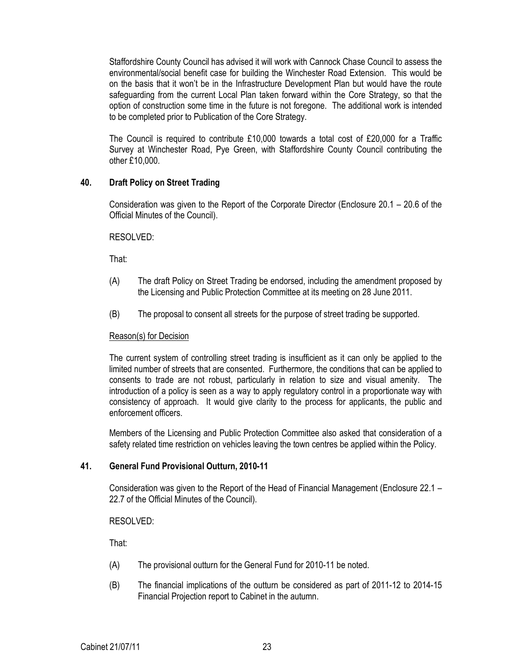Staffordshire County Council has advised it will work with Cannock Chase Council to assess the environmental/social benefit case for building the Winchester Road Extension. This would be on the basis that it won't be in the Infrastructure Development Plan but would have the route safeguarding from the current Local Plan taken forward within the Core Strategy, so that the option of construction some time in the future is not foregone. The additional work is intended to be completed prior to Publication of the Core Strategy.

The Council is required to contribute £10,000 towards a total cost of £20,000 for a Traffic Survey at Winchester Road, Pye Green, with Staffordshire County Council contributing the other £10,000.

## 40. Draft Policy on Street Trading

Consideration was given to the Report of the Corporate Director (Enclosure 20.1 – 20.6 of the Official Minutes of the Council).

### RESOLVED:

That:

- (A) The draft Policy on Street Trading be endorsed, including the amendment proposed by the Licensing and Public Protection Committee at its meeting on 28 June 2011.
- (B) The proposal to consent all streets for the purpose of street trading be supported.

#### Reason(s) for Decision

The current system of controlling street trading is insufficient as it can only be applied to the limited number of streets that are consented. Furthermore, the conditions that can be applied to consents to trade are not robust, particularly in relation to size and visual amenity. The introduction of a policy is seen as a way to apply regulatory control in a proportionate way with consistency of approach. It would give clarity to the process for applicants, the public and enforcement officers.

Members of the Licensing and Public Protection Committee also asked that consideration of a safety related time restriction on vehicles leaving the town centres be applied within the Policy.

## 41. General Fund Provisional Outturn, 2010-11

Consideration was given to the Report of the Head of Financial Management (Enclosure 22.1 – 22.7 of the Official Minutes of the Council).

RESOLVED:

- (A) The provisional outturn for the General Fund for 2010-11 be noted.
- (B) The financial implications of the outturn be considered as part of 2011-12 to 2014-15 Financial Projection report to Cabinet in the autumn.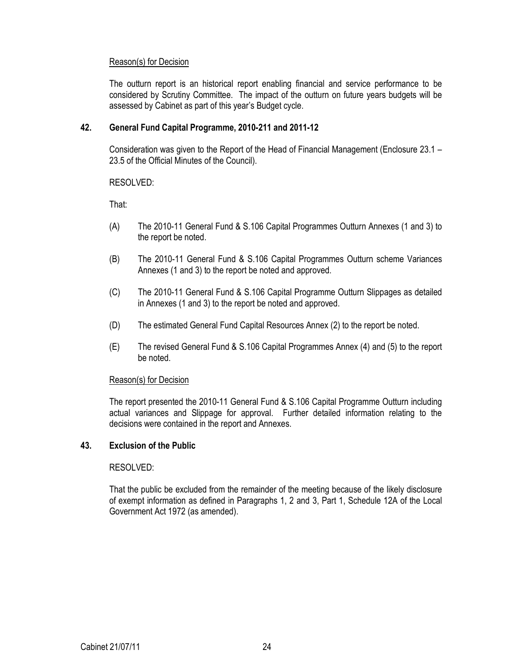## Reason(s) for Decision

The outturn report is an historical report enabling financial and service performance to be considered by Scrutiny Committee. The impact of the outturn on future years budgets will be assessed by Cabinet as part of this year's Budget cycle.

## 42. General Fund Capital Programme, 2010-211 and 2011-12

Consideration was given to the Report of the Head of Financial Management (Enclosure 23.1 – 23.5 of the Official Minutes of the Council).

RESOLVED:

That:

- (A) The 2010-11 General Fund & S.106 Capital Programmes Outturn Annexes (1 and 3) to the report be noted.
- (B) The 2010-11 General Fund & S.106 Capital Programmes Outturn scheme Variances Annexes (1 and 3) to the report be noted and approved.
- (C) The 2010-11 General Fund & S.106 Capital Programme Outturn Slippages as detailed in Annexes (1 and 3) to the report be noted and approved.
- (D) The estimated General Fund Capital Resources Annex (2) to the report be noted.
- (E) The revised General Fund & S.106 Capital Programmes Annex (4) and (5) to the report be noted.

### Reason(s) for Decision

The report presented the 2010-11 General Fund & S.106 Capital Programme Outturn including actual variances and Slippage for approval. Further detailed information relating to the decisions were contained in the report and Annexes.

### 43. Exclusion of the Public

### RESOLVED:

That the public be excluded from the remainder of the meeting because of the likely disclosure of exempt information as defined in Paragraphs 1, 2 and 3, Part 1, Schedule 12A of the Local Government Act 1972 (as amended).